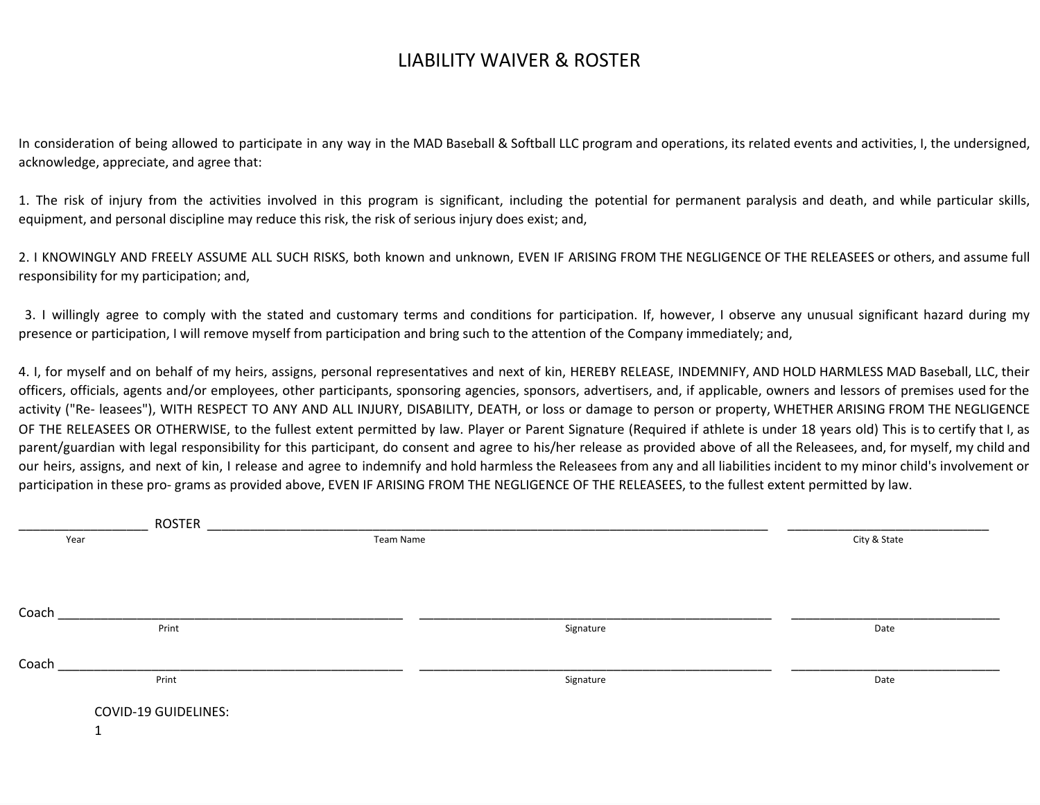## LIABILITY WAIVER & ROSTER

In consideration of being allowed to participate in any way in the MAD Baseball & Softball LLC program and operations, its related events and activities, I, the undersigned, acknowledge, appreciate, and agree that:

1. The risk of injury from the activities involved in this program is significant, including the potential for permanent paralysis and death, and while particular skills, equipment, and personal discipline may reduce this risk, the risk of serious injury does exist; and,

2. I KNOWINGLY AND FREELY ASSUME ALL SUCH RISKS, both known and unknown, EVEN IF ARISING FROM THE NEGLIGENCE OF THE RELEASEES or others, and assume full responsibility for my participation; and,

3. I willingly agree to comply with the stated and customary terms and conditions for participation. If, however, I observe any unusual significant hazard during my presence or participation, I will remove myself from participation and bring such to the attention of the Company immediately; and,

4. I, for myself and on behalf of my heirs, assigns, personal representatives and next of kin, HEREBY RELEASE, INDEMNIFY, AND HOLD HARMLESS MAD Baseball, LLC, their officers, officials, agents and/or employees, other participants, sponsoring agencies, sponsors, advertisers, and, if applicable, owners and lessors of premises used for the activity ("Re- leasees"), WITH RESPECT TO ANY AND ALL INJURY, DISABILITY, DEATH, or loss or damage to person or property, WHETHER ARISING FROM THE NEGLIGENCE OF THE RELEASEES OR OTHERWISE, to the fullest extent permitted by law. Player or Parent Signature (Required if athlete is under 18 years old) This is to certify that I, as parent/guardian with legal responsibility for this participant, do consent and agree to his/her release as provided above of all the Releasees, and, for myself, my child and our heirs, assigns, and next of kin, I release and agree to indemnify and hold harmless the Releasees from any and all liabilities incident to my minor child's involvement or participation in these pro- grams as provided above, EVEN IF ARISING FROM THE NEGLIGENCE OF THE RELEASEES, to the fullest extent permitted by law.

| <b>ROSTER</b>               |           |              |      |
|-----------------------------|-----------|--------------|------|
| Year                        | Team Name | City & State |      |
|                             |           |              |      |
|                             |           |              |      |
|                             |           |              |      |
| Coach                       |           |              |      |
| Print                       |           | Signature    | Date |
|                             |           |              |      |
| Coach                       |           |              |      |
| Print                       |           | Signature    | Date |
|                             |           |              |      |
| <b>COVID-19 GUIDELINES:</b> |           |              |      |
|                             |           |              |      |
|                             |           |              |      |